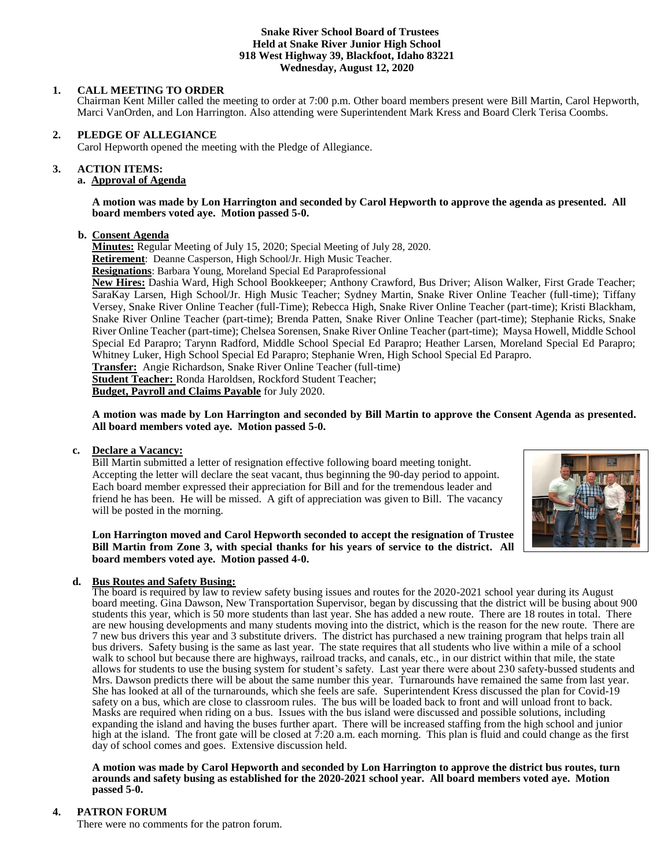#### **Snake River School Board of Trustees Held at Snake River Junior High School 918 West Highway 39, Blackfoot, Idaho 83221 Wednesday, August 12, 2020**

## **1. CALL MEETING TO ORDER**

Chairman Kent Miller called the meeting to order at 7:00 p.m. Other board members present were Bill Martin, Carol Hepworth, Marci VanOrden, and Lon Harrington. Also attending were Superintendent Mark Kress and Board Clerk Terisa Coombs.

### **2. PLEDGE OF ALLEGIANCE**

Carol Hepworth opened the meeting with the Pledge of Allegiance.

#### **3. ACTION ITEMS:**

#### **a. Approval of Agenda**

**A motion was made by Lon Harrington and seconded by Carol Hepworth to approve the agenda as presented. All board members voted aye. Motion passed 5-0.**

### **b. Consent Agenda**

**Minutes:** Regular Meeting of July 15, 2020; Special Meeting of July 28, 2020.

**Retirement**: Deanne Casperson, High School/Jr. High Music Teacher.

**Resignations**: Barbara Young, Moreland Special Ed Paraprofessional

**New Hires:** Dashia Ward, High School Bookkeeper; Anthony Crawford, Bus Driver; Alison Walker, First Grade Teacher; SaraKay Larsen, High School/Jr. High Music Teacher; Sydney Martin, Snake River Online Teacher (full-time); Tiffany Versey, Snake River Online Teacher (full-Time); Rebecca High, Snake River Online Teacher (part-time); Kristi Blackham, Snake River Online Teacher (part-time); Brenda Patten, Snake River Online Teacher (part-time); Stephanie Ricks, Snake River Online Teacher (part-time); Chelsea Sorensen, Snake River Online Teacher (part-time); Maysa Howell, Middle School Special Ed Parapro; Tarynn Radford, Middle School Special Ed Parapro; Heather Larsen, Moreland Special Ed Parapro; Whitney Luker, High School Special Ed Parapro; Stephanie Wren, High School Special Ed Parapro.

**Transfer:** Angie Richardson, Snake River Online Teacher (full-time)

**Student Teacher:** Ronda Haroldsen, Rockford Student Teacher;

**Budget, Payroll and Claims Payable** for July 2020.

**A motion was made by Lon Harrington and seconded by Bill Martin to approve the Consent Agenda as presented. All board members voted aye. Motion passed 5-0.**

#### **c. Declare a Vacancy:**

Bill Martin submitted a letter of resignation effective following board meeting tonight. Accepting the letter will declare the seat vacant, thus beginning the 90-day period to appoint. Each board member expressed their appreciation for Bill and for the tremendous leader and friend he has been. He will be missed. A gift of appreciation was given to Bill. The vacancy will be posted in the morning.



**Lon Harrington moved and Carol Hepworth seconded to accept the resignation of Trustee Bill Martin from Zone 3, with special thanks for his years of service to the district. All board members voted aye. Motion passed 4-0.**

# **d. Bus Routes and Safety Busing:**

The board is required by law to review safety busing issues and routes for the 2020-2021 school year during its August board meeting. Gina Dawson, New Transportation Supervisor, began by discussing that the district will be busing about 900 students this year, which is 50 more students than last year. She has added a new route. There are 18 routes in total. There are new housing developments and many students moving into the district, which is the reason for the new route. There are 7 new bus drivers this year and 3 substitute drivers. The district has purchased a new training program that helps train all bus drivers. Safety busing is the same as last year. The state requires that all students who live within a mile of a school walk to school but because there are highways, railroad tracks, and canals, etc., in our district within that mile, the state allows for students to use the busing system for student's safety. Last year there were about 230 safety-bussed students and Mrs. Dawson predicts there will be about the same number this year. Turnarounds have remained the same from last year. She has looked at all of the turnarounds, which she feels are safe. Superintendent Kress discussed the plan for Covid-19 safety on a bus, which are close to classroom rules. The bus will be loaded back to front and will unload front to back. Masks are required when riding on a bus. Issues with the bus island were discussed and possible solutions, including expanding the island and having the buses further apart. There will be increased staffing from the high school and junior high at the island. The front gate will be closed at 7:20 a.m. each morning. This plan is fluid and could change as the first day of school comes and goes. Extensive discussion held.

**A motion was made by Carol Hepworth and seconded by Lon Harrington to approve the district bus routes, turn arounds and safety busing as established for the 2020-2021 school year. All board members voted aye. Motion passed 5-0.**

# **4. PATRON FORUM**

There were no comments for the patron forum.